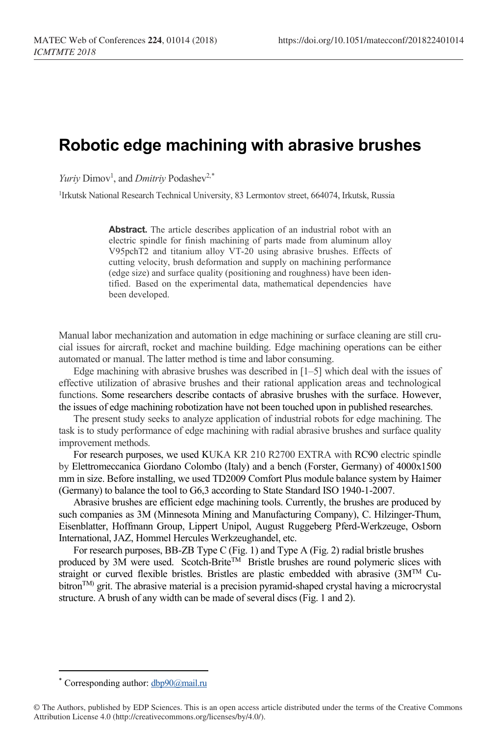## **Robotic edge machining with abrasive brushes**

*Yuriy* Dimov<sup>1</sup>, and *Dmitriy* Podashev<sup>2,[\\*](#page-0-0)</sup>

<sup>1</sup>Irkutsk National Research Technical University, 83 Lermontov street, 664074, Irkutsk, Russia

**Abstract.** The article describes application of an industrial robot with an electric spindle for finish machining of parts made from aluminum alloy V95pchT2 and titanium alloy VT-20 using abrasive brushes. Effects of cutting velocity, brush deformation and supply on machining performance (edge size) and surface quality (positioning and roughness) have been identified. Based on the experimental data, mathematical dependencies have been developed.

Manual labor mechanization and automation in edge machining or surface cleaning are still crucial issues for aircraft, rocket and machine building. Edge machining operations can be either automated or manual. The latter method is time and labor consuming.

Edge machining with abrasive brushes was described in [1–5] which deal with the issues of effective utilization of abrasive brushes and their rational application areas and technological functions. Some researchers describe contacts of abrasive brushes with the surface. However, the issues of edge machining robotization have not been touched upon in published researches.

The present study seeks to analyze application of industrial robots for edge machining. The task is to study performance of edge machining with radial abrasive brushes and surface quality improvement methods.

For research purposes, we used KUKA KR 210 R2700 EXTRA with RC90 electric spindle by Elettromeccanica Giordano Colombo (Italy) and a bench (Forster, Germany) of 4000х1500 mm in size. Before installing, we used TD2009 Comfort Plus module balance system by Haimer (Germany) to balance the tool to G6,3 according to State Standard ISO 1940-1-2007.

Abrasive brushes are efficient edge machining tools. Currently, the brushes are produced by such companies as 3M (Minnesota Mining and Manufacturing Company), C. Hilzinger-Thum, Eisenblatter, Hoffmann Group, Lippert Unipol, August Ruggeberg Pferd-Werkzeuge, Osborn International, JAZ, Hommel Hercules Werkzeughandel, etc.

For research purposes, ВВ-ZB Type С (Fig. 1) and Type A (Fig. 2) radial bristle brushes produced by 3M were used. Scotch-Brite™ Bristle brushes are round polymeric slices with straight or curved flexible bristles. Bristles are plastic embedded with abrasive (3МТМ Cubitron<sup>TM</sup>) grit. The abrasive material is a precision pyramid-shaped crystal having a microcrystal structure. A brush of any width can be made of several discs (Fig. 1 and 2).

 $\overline{\phantom{a}}$ 

<sup>\*</sup> Corresponding author: dbp90@mail.ru

<span id="page-0-0"></span><sup>©</sup> The Authors, published by EDP Sciences. This is an open access article distributed under the terms of the Creative Commons Attribution License 4.0 (http://creativecommons.org/licenses/by/4.0/).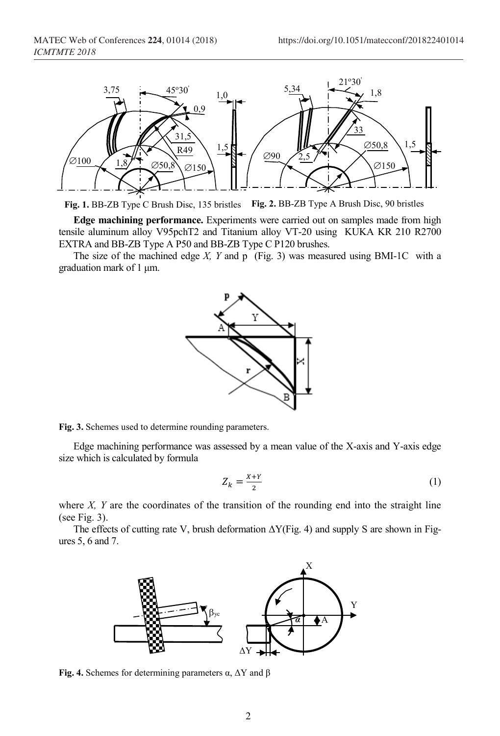

**Fig. 1.** BB-ZB Type C Brush Disc, 135 bristles **Fig. 2.** BB-ZB Type A Brush Disc, 90 bristles

**Edge machining performance.** Experiments were carried out on samples made from high tensile aluminum alloy V95pchТ2 and Titanium alloy VT-20 using KUKA KR 210 R2700 EXTRA and BB-ZB Type A Р50 and BB-ZB Type C Р120 brushes.

The size of the machined edge *Х, Y* and р (Fig. 3) was measured using BMI-1C with a graduation mark of 1 μm.



**Fig. 3.** Schemes used to determine rounding parameters.

Edge machining performance was assessed by a mean value of the X-axis and Y-axis edge size which is calculated by formula

$$
Z_k = \frac{x + y}{2} \tag{1}
$$

where *X*, *Y* are the coordinates of the transition of the rounding end into the straight line (see Fig. 3).

The effects of cutting rate V, brush deformation  $\Delta Y$ (Fig. 4) and supply S are shown in Figures 5, 6 and 7.



**Fig. 4.** Schemes for determining parameters  $\alpha$ ,  $\Delta Y$  and  $\beta$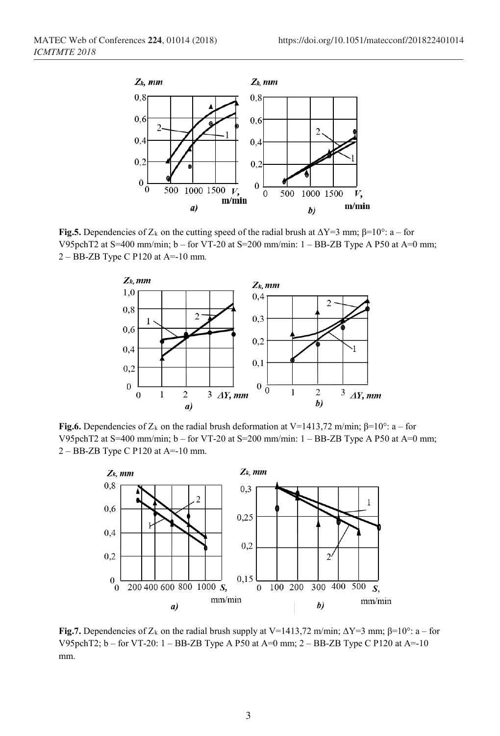

**Fig.5.** Dependencies of  $Z_k$  on the cutting speed of the radial brush at  $\Delta Y=3$  mm;  $\beta=10^\circ$ : a – for V95pchT2 at S=400 mm/min; b – for VT-20 at S=200 mm/min: 1 – BB-ZB Type A P50 at A=0 mm; 2 – BB-ZB Type C P120 at A=-10 mm.



**Fig.6.** Dependencies of  $Z_k$  on the radial brush deformation at V=1413,72 m/min;  $\beta$ =10°: a – for V95pchT2 at S=400 mm/min; b – for VT-20 at S=200 mm/min: 1 – BB-ZB Type A P50 at A=0 mm; 2 – BB-ZB Type C P120 at A=-10 mm.



**Fig.7.** Dependencies of  $Z_k$  on the radial brush supply at V=1413,72 m/min;  $\Delta Y=3$  mm;  $\beta=10^\circ$ : a – for V95pchT2;  $b -$  for VT-20:  $1 -$ BB-ZB Type A P50 at A=0 mm;  $2 -$ BB-ZB Type C P120 at A=-10 mm.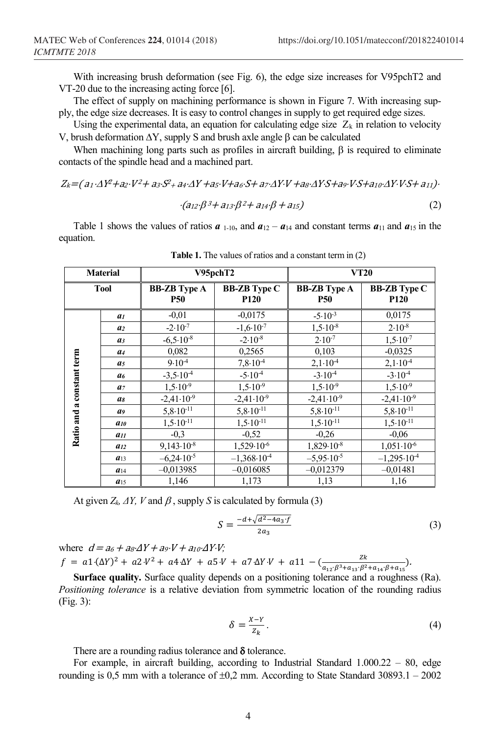With increasing brush deformation (see Fig. 6), the edge size increases for V95pchT2 and VT-20 due to the increasing acting force [6].

The effect of supply on machining performance is shown in Figure 7. With increasing supply, the edge size decreases. It is easy to control changes in supply to get required edge sizes.

Using the experimental data, an equation for calculating edge size  $Z_k$  in relation to velocity V, brush deformation ∆Y, supply S and brush axle angle β can be calculated

When machining long parts such as profiles in aircraft building,  $\beta$  is required to eliminate contacts of the spindle head and a machined part.

Zk=( a1⋅∆Y2+a2⋅V2+ a3⋅S2+ a4⋅∆Y +a5⋅V+a6⋅S+ a7⋅∆Y⋅V +a8⋅∆Y⋅S+a9⋅V⋅S+a10⋅∆Y⋅V⋅S+ a11)<sup>⋅</sup>

$$
\cdot (a_{12} \cdot \beta^3 + a_{13} \cdot \beta^2 + a_{14} \cdot \beta + a_{15}) \tag{2}
$$

Table 1 shows the values of ratios  $\boldsymbol{a}_{1-10}$ , and  $\boldsymbol{a}_{12} - \boldsymbol{a}_{14}$  and constant terms  $\boldsymbol{a}_{11}$  and  $\boldsymbol{a}_{15}$  in the equation.

| <b>Material</b>           |                  |                                   | V95pchT2                           | <b>VT20</b>                       |                                         |  |
|---------------------------|------------------|-----------------------------------|------------------------------------|-----------------------------------|-----------------------------------------|--|
| <b>Tool</b>               |                  | <b>BB-ZB</b> Type A<br><b>P50</b> | <b>BB-ZB</b> Type C<br><b>P120</b> | <b>BB-ZB</b> Type A<br><b>P50</b> | <b>BB-ZB</b> Type C<br>P <sub>120</sub> |  |
|                           | a <sub>I</sub>   | $-0.01$                           | $-0.0175$                          | $-5.10^{-3}$                      | 0,0175                                  |  |
|                           | a <sub>2</sub>   | $-2.10^{-7}$                      | $-1,6.10^{-7}$                     | $1,5.10^{-8}$                     | $2.10^{-8}$                             |  |
|                           | a <sub>3</sub>   | $-6,5.10^{-8}$                    | $-2.10^{-8}$                       | $2.10^{-7}$                       | $1.5 \cdot 10^{-7}$                     |  |
|                           | a <sub>4</sub>   | 0,082                             | 0,2565                             | 0,103                             | $-0.0325$                               |  |
|                           | a <sub>5</sub>   | 9.10 <sup>4</sup>                 | $7,8.10^{-4}$                      | 2,1.10 <sup>4</sup>               | $2,1.10-4$                              |  |
|                           | a <sub>6</sub>   | $-3,5.10^{-4}$                    | $-5.10-4$                          | $-3.104$                          | $-3.10^{-4}$                            |  |
| Ratio and a constant term | a <sub>7</sub>   | $1,5.10^{-9}$                     | $1,5.10^{-9}$                      | $1,5.10^{-9}$                     | $1,5.10^{-9}$                           |  |
|                           | $\mathfrak{a}_8$ | $-2,41 \cdot 10^{-9}$             | $-2,41 \cdot 10^{-9}$              | $-2,41 \cdot 10^{-9}$             | $-2,41 \cdot 10^{-9}$                   |  |
|                           | a9               | $5,8.10^{-11}$                    | $5,8.10^{-11}$                     | $5,8.10^{-11}$                    | $5,8.10^{-11}$                          |  |
|                           | $a_{10}$         | $1,5.10^{-11}$                    | $1,5.10^{-11}$                     | $1,5.10^{-11}$                    | $1,5.10^{-11}$                          |  |
|                           | $a_{11}$         | $-0.3$                            | $-0,52$                            | $-0,26$                           | $-0.06$                                 |  |
|                           | $a_{12}$         | $9,143.10^{-8}$                   | $1,529.10^{-6}$                    | $1,829.10^{-8}$                   | $1,051 \cdot 10^{-6}$                   |  |
|                           | $a_{13}$         | $-6,24.10^{-5}$                   | $-1,368.10-4$                      | $-5,95.10^{-5}$                   | $-1,295.10^{-4}$                        |  |
|                           | $a_{14}$         | $-0.013985$                       | $-0.016085$                        | $-0.012379$                       | $-0.01481$                              |  |
|                           | $a_{15}$         | 1,146                             | 1,173                              | 1,13                              | 1,16                                    |  |

**Table 1.** The values of ratios and a constant term in (2)

At given  $Z_k$ ,  $\Delta Y$ ,  $V$  and  $\beta$ , supply *S* is calculated by formula (3)

$$
S = \frac{-d + \sqrt{d^2 - 4a_3 \cdot f}}{2a_3} \tag{3}
$$

where  $d = a_6 + a_8 \Delta Y + a_9 \cdot V + a_{10} \cdot \Delta Y \cdot V$ ;  $f = a1 \cdot (\Delta Y)^2 + a2 \cdot V^2 + a4 \cdot \Delta Y + a5 \cdot V + a7 \cdot \Delta Y \cdot V + a11 - (\frac{2k}{a_{12} \cdot \beta^3 + a_{13} \cdot \beta^2 + a_{14} \cdot \beta + a_{15}}).$ 

**Surface quality.** Surface quality depends on a positioning tolerance and a roughness (Ra). *Positioning tolerance* is a relative deviation from symmetric location of the rounding radius (Fig. 3):

$$
\delta = \frac{x - Y}{z_k}.
$$
\n<sup>(4)</sup>

There are a rounding radius tolerance and  $\delta$  tolerance.

For example, in aircraft building, according to Industrial Standard  $1.000.22 - 80$ , edge rounding is 0,5 mm with a tolerance of  $\pm 0.2$  mm. According to State Standard 30893.1 – 2002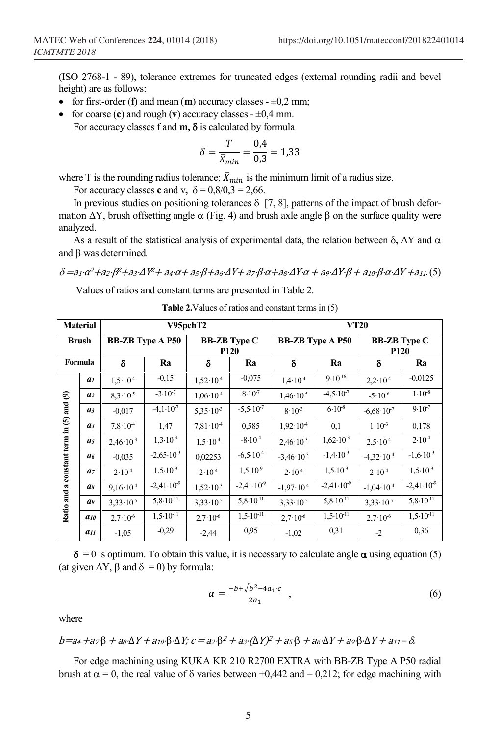(ISO 2768-1 - 89), tolerance extremes for truncated edges (external rounding radii and bevel height) are as follows:

- for first-order  $(f)$  and mean  $(m)$  accuracy classes  $\pm 0.2$  mm;
- for coarse  $(c)$  and rough  $(v)$  accuracy classes  $\pm 0.4$  mm. For accuracy classes f and **m,** δ is calculated by formula

$$
\delta = \frac{T}{\bar{X}_{min}} = \frac{0.4}{0.3} = 1.33
$$

where T is the rounding radius tolerance;  $\bar{X}_{min}$  is the minimum limit of a radius size.

For accuracy classes **c** and v,  $\delta = 0.8/0.3 = 2.66$ .

In previous studies on positioning tolerances  $\delta$  [7, 8], patterns of the impact of brush deformation  $ΔY$ , brush offsetting angle  $α$  (Fig. 4) and brush axle angle β on the surface quality were analyzed.

As a result of the statistical analysis of experimental data, the relation between  $\delta$ ,  $\Delta Y$  and  $\alpha$ and β was determined*.*

δ =a1⋅<sup>α</sup>2+a2⋅β2+a3⋅ΔY2+ a4⋅α+ a5⋅β+a<sup>6</sup>⋅ΔY+ a<sup>7</sup>⋅β⋅α+a<sup>8</sup>⋅ΔY⋅α + a<sup>9</sup>⋅ΔY⋅β + a<sup>10</sup>⋅β⋅α⋅ΔY +a11.(5)

Values of ratios and constant terms are presented in Table 2.

| <b>Material</b>                          |                | V95pchT2                |                         |                                    |                         | <b>VT20</b>           |                         |                                    |                       |  |
|------------------------------------------|----------------|-------------------------|-------------------------|------------------------------------|-------------------------|-----------------------|-------------------------|------------------------------------|-----------------------|--|
| <b>Brush</b>                             |                | <b>BB-ZB</b> Type A P50 |                         | <b>BB-ZB</b> Type C<br><b>P120</b> |                         |                       | <b>BB-ZB</b> Type A P50 | <b>BB-ZB</b> Type C<br><b>P120</b> |                       |  |
| Formula                                  |                | δ                       | Ra                      | δ                                  | Ra                      | Ra<br>δ               |                         | δ                                  | Ra                    |  |
|                                          | a <sub>1</sub> | $1.5 \cdot 10^{-4}$     | $-0,15$                 | $1,52 \cdot 10^{4}$                | $-0.075$                | $1.4 \cdot 10^{-4}$   | $9.10^{16}$             | $2.2 \cdot 10^{-4}$                | $-0.0125$             |  |
| Ratio and a constant term in (5) and (9) | a <sub>2</sub> | $8.3 \cdot 10^{-5}$     | $-3.10^{-7}$            | $1,06 \cdot 10^{-4}$               | $8.10^{-7}$             | $1,46 \cdot 10^{-5}$  | $-4,5.10^{7}$           | $-5.10^{-6}$                       | $1.10^{-8}$           |  |
|                                          | a <sub>3</sub> | $-0.017$                | $-4,1.10^{7}$           | $5.35 \cdot 10^{-3}$               | $-5,5.10^{7}$           | $8.10^{-3}$           | $6.10^{-8}$             | $-6,68 \cdot 10^{7}$               | $9.10^{-7}$           |  |
|                                          | a <sub>4</sub> | $7.8 \cdot 10^{-4}$     | 1,47                    | $7,81 \cdot 10^{-4}$               | 0,585                   | $1.92 \cdot 10^{4}$   | 0,1                     | $1.10^{-3}$                        | 0,178                 |  |
|                                          | a <sub>5</sub> | $2.46 \cdot 10^{-3}$    | $1,3.10^{-3}$           | $1.5 \cdot 10^{-4}$                | $-8.10-4$               | $2.46 \cdot 10^{-3}$  | $1,62 \cdot 10^{-3}$    | $2.5 \cdot 10^{-4}$                | 2.10 <sup>4</sup>     |  |
|                                          | a <sub>6</sub> | $-0.035$                | $-2,65 \cdot 10^{-3}$   | 0.02253                            | $-6,5.10-4$             | $-3,46.10^{-3}$       | $-1,4.10^{-3}$          | $-4,32 \cdot 10^{-4}$              | $-1,6.10^{-3}$        |  |
|                                          | a <sub>7</sub> | $2.10^{4}$              | $1,5.10^{9}$            | $2.10^{4}$                         | $1,5.10^{9}$            | $2.10^{4}$            | $1,5.10^{9}$            | $2.10^{4}$                         | $1,5.10^{9}$          |  |
|                                          | as             | $9,16.10^{4}$           | $-2,41 \cdot 10^{-9}$   | $1,52 \cdot 10^{-3}$               | $-2,41 \cdot 10^{-9}$   | $-1.97 \cdot 10^{-4}$ | $-2,41 \cdot 10^{-9}$   | $-1,04.10-4$                       | $-2,41 \cdot 10^{-9}$ |  |
|                                          | a9             | $3,33 \cdot 10^{-5}$    | $5,8.10^{-11}$          | $3.33 \cdot 10^{-5}$               | $5,8.10^{-11}$          | $3.33 \cdot 10^{-5}$  | $5,8.10^{-11}$          | $3,33 \cdot 10^{-5}$               | $5,8.10^{-11}$        |  |
|                                          | $a_{10}$       | $2,7.10^{-6}$           | $1,5.10$ <sup>-11</sup> | $2,7.10^{-6}$                      | $1,5.10$ <sup>-11</sup> | $2.7 \cdot 10^{-6}$   | $1,5.10$ <sup>-11</sup> | $2,7.10^{-6}$                      | $1,5.10^{11}$         |  |
|                                          | $a_{II}$       | $-1,05$                 | $-0.29$                 | $-2,44$                            | 0.95                    | $-1,02$               | 0,31                    | $-2$                               | 0,36                  |  |

**Table 2.**Values of ratios and constant terms in (5)

 $\delta = 0$  is optimum. To obtain this value, it is necessary to calculate angle  $\alpha$  using equation (5) (at given  $\Delta Y$ ,  $\beta$  and  $\delta = 0$ ) by formula:

$$
\alpha = \frac{-b + \sqrt{b^2 - 4a_1 c}}{2a_1} \t{6}
$$

where

$$
b=a_4+a_7\beta+a_8\Delta Y+a_{10}\beta\cdot\Delta Y; c=a_2\beta^2+a_3\cdot(\Delta Y)^2+a_5\beta+a_6\cdot\Delta Y+a_9\beta\cdot\Delta Y+a_{11}-\delta.
$$

For edge machining using KUKA KR 210 R2700 EXTRA with BB-ZB Type A Р50 radial brush at  $\alpha = 0$ , the real value of δ varies between +0,442 and – 0,212; for edge machining with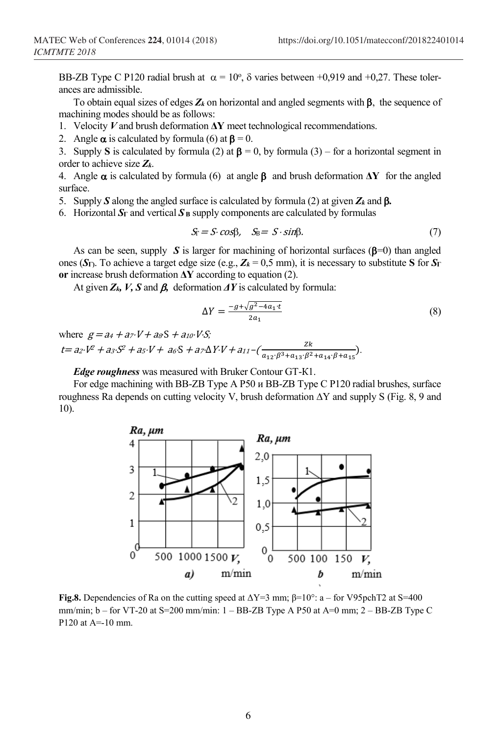BB-ZB Type C P120 radial brush at  $\alpha = 10^{\circ}$ ,  $\delta$  varies between +0,919 and +0,27. These tolerances are admissible.

To obtain equal sizes of edges *Zk* on horizontal and angled segments with β, the sequence of machining modes should be as follows:

- 1. Velocity *V* and brush deformation **ΔY** meet technological recommendations.
- 2. Angle  $\alpha$  is calculated by formula (6) at  $\beta = 0$ .

3. Supply **S** is calculated by formula (2) at  $\beta = 0$ , by formula (3) – for a horizontal segment in order to achieve size *Zk*.

4. Angle α is calculated by formula (6) at angle β and brush deformation **ΔY** for the angled surface.

- 5. Supply *S* along the angled surface is calculated by formula (2) at given *Zk* and β*.*
- 6. Horizontal  $S_\Gamma$  and vertical  $S_\text{B}$  supply components are calculated by formulas

$$
S_{\rm F} = S \cdot \cos\beta, \quad S_{\rm B} = S \cdot \sin\beta. \tag{7}
$$

As can be seen, supply *S* is larger for machining of horizontal surfaces ( $\beta$ =0) than angled ones ( $S_{\Gamma}$ ). To achieve a target edge size (e.g.,  $Z_k = 0.5$  mm), it is necessary to substitute **S** for  $S_{\Gamma}$ **or** increase brush deformation **ΔY** according to equation (2).

At given *Zk, V, S* and β*,* deformation *ΔY* is calculated by formula:

$$
\Delta Y = \frac{-g + \sqrt{g^2 - 4a_1 \cdot t}}{2a_1} \tag{8}
$$

where  $g = a_4 + a_7 \cdot V + a_8 S + a_{10} \cdot V \cdot S$ ;  $t = a_2 \cdot V^2 + a_3 \cdot S^2 + a_5 \cdot V + a_6 \cdot S + a_7 \cdot \Delta Y \cdot V + a_{11} - (\frac{2K}{a_{12} \cdot \beta^3 + a_{13} \cdot \beta^2 + a_{14} \cdot \beta + a_{15}}).$ 

*Edge roughness* was measured with Bruker Contour GT-К1.

For edge machining with BB-ZB Type A Р50 и BB-ZB Type C Р120 radial brushes, surface roughness Ra depends on cutting velocity V, brush deformation  $\Delta Y$  and supply S (Fig. 8, 9 and 10).



**Fig.8.** Dependencies of Ra on the cutting speed at  $\Delta Y=3$  mm;  $\beta=10^{\circ}$ : a – for V95pchT2 at S=400 mm/min;  $b -$  for VT-20 at S=200 mm/min:  $1 -$ BB-ZB Type A P50 at A=0 mm;  $2 -$ BB-ZB Type C P120 at  $A = -10$  mm.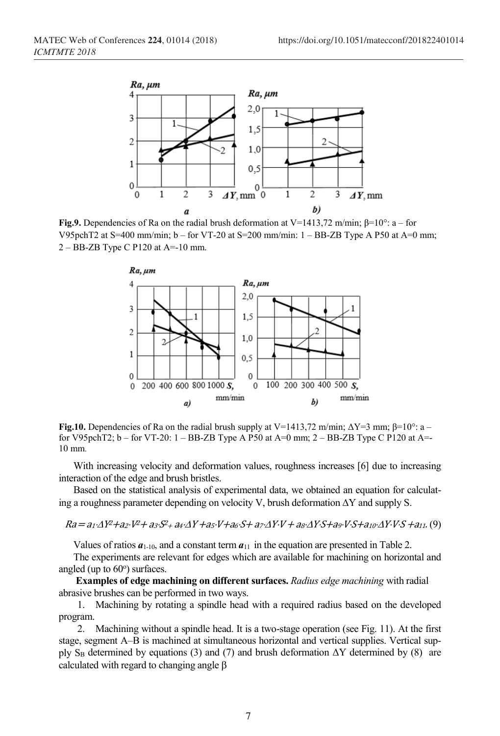

**Fig.9.** Dependencies of Ra on the radial brush deformation at V=1413,72 m/min;  $\beta$ =10°: a – for V95pchT2 at S=400 mm/min;  $b -$  for VT-20 at S=200 mm/min:  $1 -$ BB-ZB Type A P50 at A=0 mm;  $2 - BB$ -ZB Type C P120 at A=-10 mm.



**Fig.10.** Dependencies of Ra on the radial brush supply at V=1413,72 m/min;  $\Delta$ Y=3 mm;  $\beta$ =10°: a – for V95pchT2; b – for VT-20: 1 – BB-ZB Type A P50 at A=0 mm; 2 – BB-ZB Type C P120 at A=- 10 mm.

With increasing velocity and deformation values, roughness increases [6] due to increasing interaction of the edge and brush bristles.

Based on the statistical analysis of experimental data, we obtained an equation for calculating a roughness parameter depending on velocity V, brush deformation ∆Y and supply S.

Ra= a1⋅∆Y2+a2⋅V2+ a3⋅S2+ a4⋅∆<sup>Y</sup> +a5⋅V+a6⋅S+ a7⋅∆Y⋅V + a8⋅∆Y⋅S+a9⋅V⋅S+a10⋅∆Y⋅V⋅<sup>S</sup> +a11. (9)

Values of ratios  $a_{1-10}$ , and a constant term  $a_{11}$  in the equation are presented in Table 2.

The experiments are relevant for edges which are available for machining on horizontal and angled (up to 60°) surfaces.

**Examples of edge machining on different surfaces.** *Radius edge machining* with radial abrasive brushes can be performed in two ways.

1. Machining by rotating a spindle head with a required radius based on the developed program.

2. Machining without a spindle head. It is a two-stage operation (see Fig. 11). At the first stage, segment А–В is machined at simultaneous horizontal and vertical supplies. Vertical supply S<sub>B</sub> determined by equations (3) and (7) and brush deformation  $\Delta Y$  determined by (8) are calculated with regard to changing angle β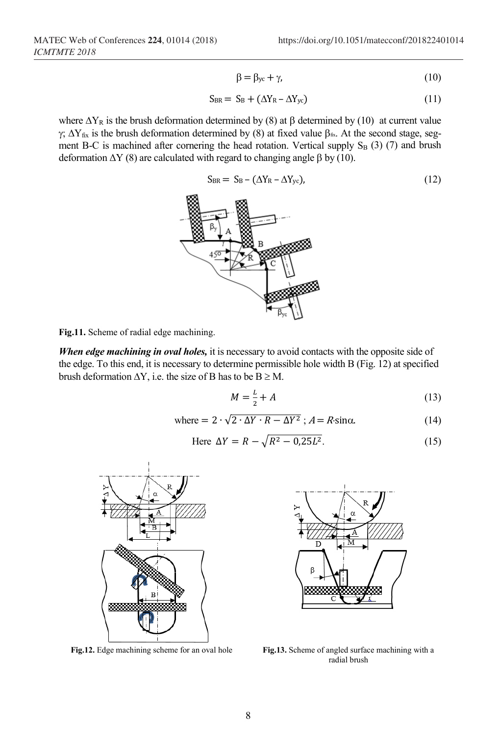$$
\beta = \beta_{yc} + \gamma,\tag{10}
$$

$$
S_{BR} = S_B + (\Delta Y_R - \Delta Y_{yc})
$$
 (11)

where  $\Delta Y_R$  is the brush deformation determined by (8) at β determined by (10) at current value γ;  $\Delta Y_{fix}$  is the brush deformation determined by (8) at fixed value β<sub>fix</sub>. At the second stage, segment B-C is machined after cornering the head rotation. Vertical supply  $S_B$  (3) (7) and brush deformation  $ΔY(8)$  are calculated with regard to changing angle  $β$  by (10).

$$
S_{BR} = S_B - (\Delta Y_R - \Delta Y_{yc}), \qquad (12)
$$



**Fig.11.** Scheme of radial edge machining.

*When edge machining in oval holes,* it is necessary to avoid contacts with the opposite side of the edge. To this end, it is necessary to determine permissible hole width В (Fig. 12) at specified brush deformation  $\Delta Y$ , i.e. the size of B has to be  $B \geq M$ .

$$
M = \frac{L}{2} + A \tag{13}
$$

where = 
$$
2 \cdot \sqrt{2 \cdot \Delta Y \cdot R - \Delta Y^2}
$$
;  $A = R \sin \alpha$ . (14)

Here 
$$
\Delta Y = R - \sqrt{R^2 - 0.25L^2}.
$$
 (15)





**Fig.12.** Edge machining scheme for an oval hole **Fig.13.** Scheme of angled surface machining with a radial brush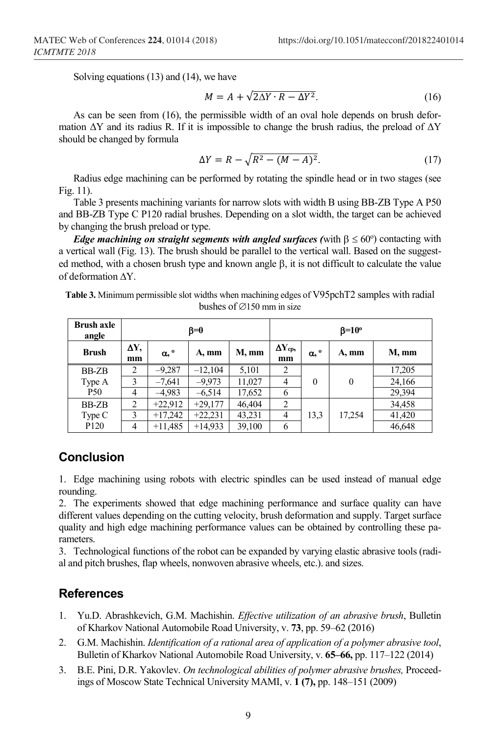Solving equations (13) and (14), we have

$$
M = A + \sqrt{2\Delta Y \cdot R - \Delta Y^2}.
$$
 (16)

As can be seen from (16), the permissible width of an oval hole depends on brush deformation  $\Delta Y$  and its radius R. If it is impossible to change the brush radius, the preload of  $\Delta Y$ should be changed by formula

$$
\Delta Y = R - \sqrt{R^2 - (M - A)^2}.
$$
 (17)

Radius edge machining can be performed by rotating the spindle head or in two stages (see Fig. 11).

Table 3 presents machining variants for narrow slots with width B using BB-ZB Type A P50 and BB-ZB Type С Р120 radial brushes. Depending on a slot width, the target can be achieved by changing the brush preload or type.

*Edge machining on straight segments with angled surfaces (with*  $\beta \leq 60^{\circ}$ ) contacting with a vertical wall (Fig. 13). The brush should be parallel to the vertical wall. Based on the suggested method, with a chosen brush type and known angle  $\beta$ , it is not difficult to calculate the value of deformation ∆Y.

| Table 3. Minimum permissible slot widths when machining edges of V95pchT2 samples with radial |
|-----------------------------------------------------------------------------------------------|
| bushes of $\varnothing$ 150 mm in size                                                        |

| <b>Brush axle</b><br>angle | $\beta = 0$    |                       |           |        | $\beta = 10^{\circ}$  |                       |          |        |
|----------------------------|----------------|-----------------------|-----------|--------|-----------------------|-----------------------|----------|--------|
| <b>Brush</b>               | ΔY,<br>mm      | $\alpha$ , $^{\circ}$ | A, mm     | M, mm  | $\Delta Y_{cp}$<br>mm | $\alpha$ , $^{\circ}$ | A, mm    | M, mm  |
| BB-ZB                      | 2              | $-9,287$              | $-12,104$ | 5,101  | 2                     | $\boldsymbol{0}$      | $\theta$ | 17,205 |
| Type A                     | 3              | $-7,641$              | $-9,973$  | 11,027 | $\overline{4}$        |                       |          | 24,166 |
| <b>P50</b>                 | 4              | $-4,983$              | $-6,514$  | 17,652 | 6                     |                       |          | 29,394 |
| BB-ZB                      | $\overline{c}$ | $+22,912$             | $+29,177$ | 46,404 | 2                     |                       | 17,254   | 34,458 |
| Type C                     | 3              | $+17,242$             | $+22,231$ | 43,231 | $\overline{4}$        | 13,3                  |          | 41,420 |
| P <sub>120</sub>           | 4              | $+11,485$             | $+14,933$ | 39,100 | 6                     |                       |          | 46,648 |

## **Conclusion**

1. Edge machining using robots with electric spindles can be used instead of manual edge rounding.

2. The experiments showed that edge machining performance and surface quality can have different values depending on the cutting velocity, brush deformation and supply. Target surface quality and high edge machining performance values can be obtained by controlling these parameters.

3. Technological functions of the robot can be expanded by varying elastic abrasive tools (radial and pitch brushes, flap wheels, nonwoven abrasive wheels, etc.). and sizes.

## **References**

- 1. Yu.D. Abrashkevich, G.M. Machishin. *Effective utilization of an abrasive brush*, Bulletin of Kharkov National Automobile Road University, v. **73**, pp. 59–62 (2016)
- 2. G.M. Machishin. *Identification of a rational area of application of a polymer abrasive tool*, Bulletin of Kharkov National Automobile Road University, v. **65–66,** pp. 117–122 (2014)
- 3. B.E. Pini, D.R. Yakovlev. *On technological abilities of polymer abrasive brushes,* Proceedings of Moscow State Technical University MAMI, v. **1 (7),** pp. 148–151 (2009)